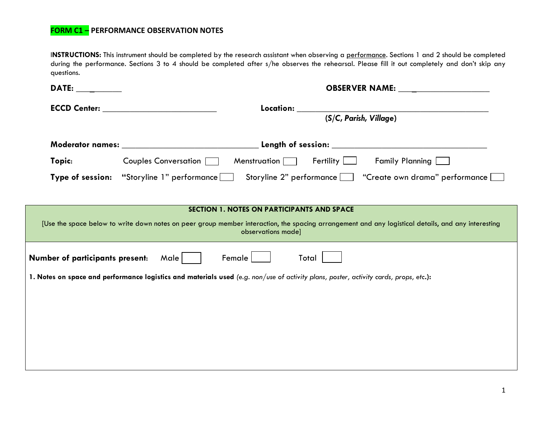## **FORM C1 – PERFORMANCE OBSERVATION NOTES**

I**NSTRUCTIONS:** This instrument should be completed by the research assistant when observing a performance. Sections 1 and 2 should be completed during the performance. Sections 3 to 4 should be completed after s/he observes the rehearsal. Please fill it out completely and don't skip any questions.

| DATE: the contract of the contract of the contract of the contract of the contract of the contract of the contract of the contract of the contract of the contract of the contract of the contract of the contract of the cont | <b>OBSERVER NAME:</b> ______________________                                                            |  |  |  |
|--------------------------------------------------------------------------------------------------------------------------------------------------------------------------------------------------------------------------------|---------------------------------------------------------------------------------------------------------|--|--|--|
|                                                                                                                                                                                                                                |                                                                                                         |  |  |  |
|                                                                                                                                                                                                                                | (S/C, Parish, Village)                                                                                  |  |  |  |
|                                                                                                                                                                                                                                |                                                                                                         |  |  |  |
| Topic:                                                                                                                                                                                                                         | Couples Conversation   Menstruation   Fertility<br><b>Family Planning</b> [                             |  |  |  |
|                                                                                                                                                                                                                                | Type of session: "Storyline 1" performance<br>Storyline 2" performance   "Create own drama" performance |  |  |  |
|                                                                                                                                                                                                                                |                                                                                                         |  |  |  |
|                                                                                                                                                                                                                                | <b>SECTION 1. NOTES ON PARTICIPANTS AND SPACE</b>                                                       |  |  |  |
| [Use the space below to write down notes on peer group member interaction, the spacing arrangement and any logistical details, and any interesting<br>observations made]                                                       |                                                                                                         |  |  |  |
| Number of participants present:<br>Male  <br>Female  <br>Total                                                                                                                                                                 |                                                                                                         |  |  |  |
| 1. Notes on space and performance logistics and materials used (e.g. non/use of activity plans, poster, activity cards, props, etc.):                                                                                          |                                                                                                         |  |  |  |
|                                                                                                                                                                                                                                |                                                                                                         |  |  |  |
|                                                                                                                                                                                                                                |                                                                                                         |  |  |  |
|                                                                                                                                                                                                                                |                                                                                                         |  |  |  |
|                                                                                                                                                                                                                                |                                                                                                         |  |  |  |
|                                                                                                                                                                                                                                |                                                                                                         |  |  |  |
|                                                                                                                                                                                                                                |                                                                                                         |  |  |  |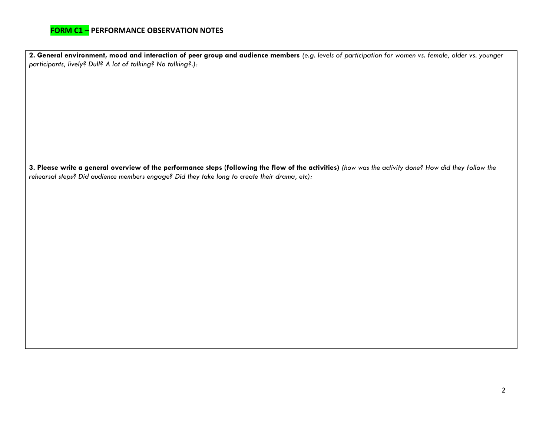## **FORM C1 – PERFORMANCE OBSERVATION NOTES**

**2. General environment, mood and interaction of peer group and audience members** *(e.g. levels of participation for women vs. female, older vs. younger participants, lively? Dull? A lot of talking? No talking?.):*

**3. Please write a general overview of the performance steps (following the flow of the activities)** *(how was the activity done? How did they follow the rehearsal steps? Did audience members engage? Did they take long to create their drama, etc):*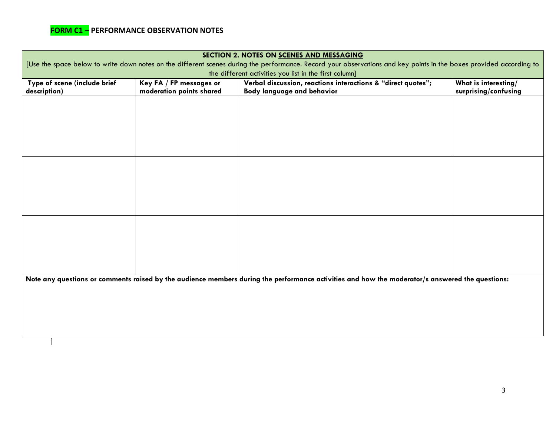| SECTION 2. NOTES ON SCENES AND MESSAGING                                                                                                                                                                                      |                                                     |                                                                                            |                                              |  |  |  |  |
|-------------------------------------------------------------------------------------------------------------------------------------------------------------------------------------------------------------------------------|-----------------------------------------------------|--------------------------------------------------------------------------------------------|----------------------------------------------|--|--|--|--|
| [Use the space below to write down notes on the different scenes during the performance. Record your observations and key points in the boxes provided according to<br>the different activities you list in the first column] |                                                     |                                                                                            |                                              |  |  |  |  |
| Type of scene (include brief<br>description)                                                                                                                                                                                  | Key FA / FP messages or<br>moderation points shared | Verbal discussion, reactions interactions & "direct quotes";<br>Body language and behavior | What is interesting/<br>surprising/confusing |  |  |  |  |
|                                                                                                                                                                                                                               |                                                     |                                                                                            |                                              |  |  |  |  |
|                                                                                                                                                                                                                               |                                                     |                                                                                            |                                              |  |  |  |  |
|                                                                                                                                                                                                                               |                                                     |                                                                                            |                                              |  |  |  |  |
|                                                                                                                                                                                                                               |                                                     |                                                                                            |                                              |  |  |  |  |
|                                                                                                                                                                                                                               |                                                     |                                                                                            |                                              |  |  |  |  |
|                                                                                                                                                                                                                               |                                                     |                                                                                            |                                              |  |  |  |  |
|                                                                                                                                                                                                                               |                                                     |                                                                                            |                                              |  |  |  |  |
|                                                                                                                                                                                                                               |                                                     |                                                                                            |                                              |  |  |  |  |
|                                                                                                                                                                                                                               |                                                     |                                                                                            |                                              |  |  |  |  |
|                                                                                                                                                                                                                               |                                                     |                                                                                            |                                              |  |  |  |  |
|                                                                                                                                                                                                                               |                                                     |                                                                                            |                                              |  |  |  |  |
|                                                                                                                                                                                                                               |                                                     |                                                                                            |                                              |  |  |  |  |
| Note any questions or comments raised by the audience members during the performance activities and how the moderator/s answered the questions:                                                                               |                                                     |                                                                                            |                                              |  |  |  |  |
|                                                                                                                                                                                                                               |                                                     |                                                                                            |                                              |  |  |  |  |
|                                                                                                                                                                                                                               |                                                     |                                                                                            |                                              |  |  |  |  |
|                                                                                                                                                                                                                               |                                                     |                                                                                            |                                              |  |  |  |  |
|                                                                                                                                                                                                                               |                                                     |                                                                                            |                                              |  |  |  |  |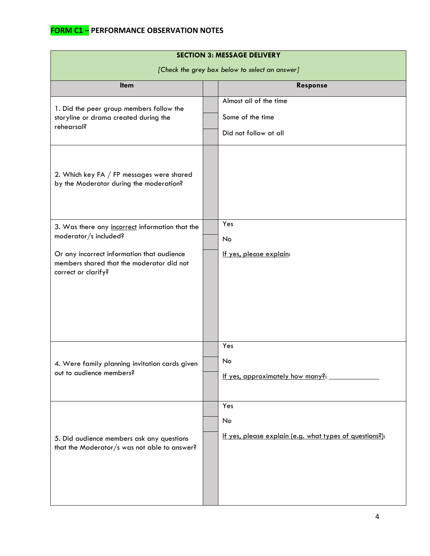| <b>SECTION 3: MESSAGE DELIVERY</b>                                                                                                                                                         |  |                                                                      |  |  |  |
|--------------------------------------------------------------------------------------------------------------------------------------------------------------------------------------------|--|----------------------------------------------------------------------|--|--|--|
| [Check the grey box below to select an answer]                                                                                                                                             |  |                                                                      |  |  |  |
| <b>Item</b>                                                                                                                                                                                |  | Response                                                             |  |  |  |
| 1. Did the peer group members follow the<br>storyline or drama created during the<br>rehearsal?                                                                                            |  | Almost all of the time<br>Some of the time<br>Did not follow at all  |  |  |  |
| 2. Which key FA / FP messages were shared<br>by the Moderator during the moderation?                                                                                                       |  |                                                                      |  |  |  |
| 3. Was there any incorrect information that the<br>moderator/s included?<br>Or any incorrect information that audience<br>members shared that the moderator did not<br>correct or clarify? |  | Yes<br>No<br>If yes, please explain:                                 |  |  |  |
| 4. Were family planning invitation cards given<br>out to audience members?                                                                                                                 |  | Yes<br>No<br>If yes, approximately how many?:                        |  |  |  |
| 5. Did audience members ask any questions<br>that the Moderator/s was not able to answer?                                                                                                  |  | Yes<br>No<br>If yes, please explain (e.g. what types of questions?): |  |  |  |